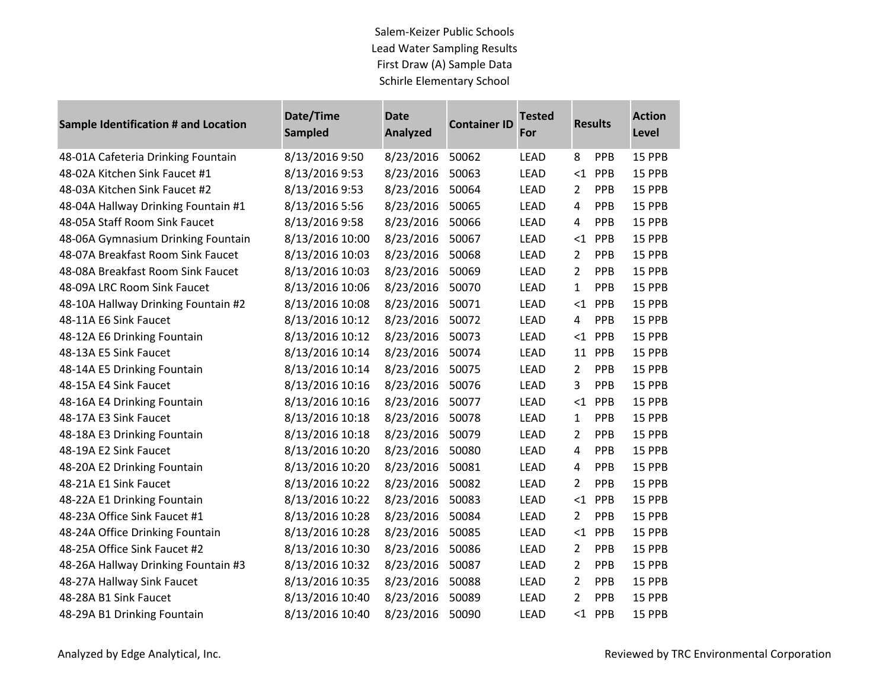## Salem-Keizer Public Schools Lead Water Sampling Results First Draw (A) Sample Data Schirle Elementary School

**COLLECTION** 

| Sample Identification # and Location | Date/Time<br><b>Sampled</b> | <b>Date</b><br><b>Analyzed</b> | <b>Container ID</b> | <b>Tested</b><br>For | <b>Results</b> |     | <b>Action</b><br><b>Level</b> |
|--------------------------------------|-----------------------------|--------------------------------|---------------------|----------------------|----------------|-----|-------------------------------|
| 48-01A Cafeteria Drinking Fountain   | 8/13/2016 9:50              | 8/23/2016                      | 50062               | <b>LEAD</b>          | 8              | PPB | 15 PPB                        |
| 48-02A Kitchen Sink Faucet #1        | 8/13/2016 9:53              | 8/23/2016                      | 50063               | <b>LEAD</b>          | ${<}1$         | PPB | 15 PPB                        |
| 48-03A Kitchen Sink Faucet #2        | 8/13/2016 9:53              | 8/23/2016                      | 50064               | <b>LEAD</b>          | $\overline{2}$ | PPB | 15 PPB                        |
| 48-04A Hallway Drinking Fountain #1  | 8/13/2016 5:56              | 8/23/2016                      | 50065               | <b>LEAD</b>          | $\overline{4}$ | PPB | 15 PPB                        |
| 48-05A Staff Room Sink Faucet        | 8/13/2016 9:58              | 8/23/2016                      | 50066               | <b>LEAD</b>          | 4              | PPB | 15 PPB                        |
| 48-06A Gymnasium Drinking Fountain   | 8/13/2016 10:00             | 8/23/2016                      | 50067               | LEAD                 | $<$ 1          | PPB | 15 PPB                        |
| 48-07A Breakfast Room Sink Faucet    | 8/13/2016 10:03             | 8/23/2016                      | 50068               | LEAD                 | $\overline{2}$ | PPB | 15 PPB                        |
| 48-08A Breakfast Room Sink Faucet    | 8/13/2016 10:03             | 8/23/2016                      | 50069               | <b>LEAD</b>          | $\overline{2}$ | PPB | 15 PPB                        |
| 48-09A LRC Room Sink Faucet          | 8/13/2016 10:06             | 8/23/2016                      | 50070               | <b>LEAD</b>          | 1              | PPB | 15 PPB                        |
| 48-10A Hallway Drinking Fountain #2  | 8/13/2016 10:08             | 8/23/2016                      | 50071               | LEAD                 | <1             | PPB | 15 PPB                        |
| 48-11A E6 Sink Faucet                | 8/13/2016 10:12             | 8/23/2016                      | 50072               | LEAD                 | 4              | PPB | 15 PPB                        |
| 48-12A E6 Drinking Fountain          | 8/13/2016 10:12             | 8/23/2016                      | 50073               | <b>LEAD</b>          | ${<}1$         | PPB | 15 PPB                        |
| 48-13A E5 Sink Faucet                | 8/13/2016 10:14             | 8/23/2016                      | 50074               | <b>LEAD</b>          | 11             | PPB | 15 PPB                        |
| 48-14A E5 Drinking Fountain          | 8/13/2016 10:14             | 8/23/2016                      | 50075               | LEAD                 | $\overline{2}$ | PPB | 15 PPB                        |
| 48-15A E4 Sink Faucet                | 8/13/2016 10:16             | 8/23/2016                      | 50076               | <b>LEAD</b>          | $\overline{3}$ | PPB | 15 PPB                        |
| 48-16A E4 Drinking Fountain          | 8/13/2016 10:16             | 8/23/2016                      | 50077               | LEAD                 | ${<}1$         | PPB | 15 PPB                        |
| 48-17A E3 Sink Faucet                | 8/13/2016 10:18             | 8/23/2016                      | 50078               | LEAD                 | $\mathbf{1}$   | PPB | 15 PPB                        |
| 48-18A E3 Drinking Fountain          | 8/13/2016 10:18             | 8/23/2016                      | 50079               | <b>LEAD</b>          | $\overline{2}$ | PPB | 15 PPB                        |
| 48-19A E2 Sink Faucet                | 8/13/2016 10:20             | 8/23/2016                      | 50080               | <b>LEAD</b>          | 4              | PPB | 15 PPB                        |
| 48-20A E2 Drinking Fountain          | 8/13/2016 10:20             | 8/23/2016                      | 50081               | LEAD                 | $\overline{a}$ | PPB | 15 PPB                        |
| 48-21A E1 Sink Faucet                | 8/13/2016 10:22             | 8/23/2016                      | 50082               | <b>LEAD</b>          | $\overline{2}$ | PPB | 15 PPB                        |
| 48-22A E1 Drinking Fountain          | 8/13/2016 10:22             | 8/23/2016                      | 50083               | LEAD                 | $\leq 1$       | PPB | 15 PPB                        |
| 48-23A Office Sink Faucet #1         | 8/13/2016 10:28             | 8/23/2016                      | 50084               | LEAD                 | $\overline{2}$ | PPB | 15 PPB                        |
| 48-24A Office Drinking Fountain      | 8/13/2016 10:28             | 8/23/2016                      | 50085               | LEAD                 | $\leq 1$       | PPB | 15 PPB                        |
| 48-25A Office Sink Faucet #2         | 8/13/2016 10:30             | 8/23/2016                      | 50086               | LEAD                 | $\overline{2}$ | PPB | 15 PPB                        |
| 48-26A Hallway Drinking Fountain #3  | 8/13/2016 10:32             | 8/23/2016                      | 50087               | <b>LEAD</b>          | $\overline{2}$ | PPB | 15 PPB                        |
| 48-27A Hallway Sink Faucet           | 8/13/2016 10:35             | 8/23/2016                      | 50088               | LEAD                 | $\overline{2}$ | PPB | 15 PPB                        |
| 48-28A B1 Sink Faucet                | 8/13/2016 10:40             | 8/23/2016                      | 50089               | <b>LEAD</b>          | $\overline{2}$ | PPB | 15 PPB                        |
| 48-29A B1 Drinking Fountain          | 8/13/2016 10:40             | 8/23/2016                      | 50090               | <b>LEAD</b>          | $\leq 1$       | PPB | 15 PPB                        |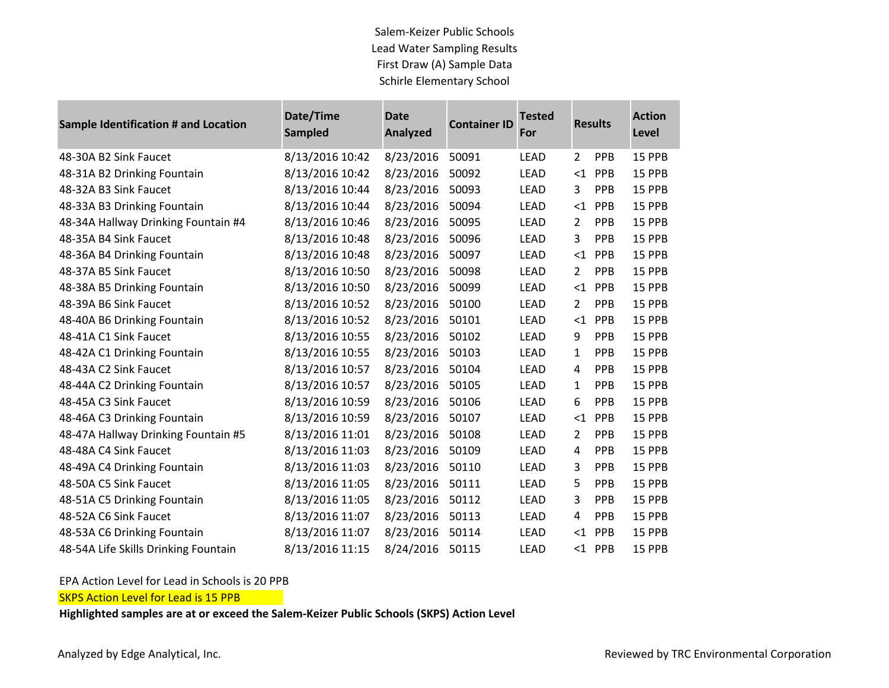## Salem-Keizer Public Schools Lead Water Sampling Results First Draw (A) Sample Data Schirle Elementary School

| Sample Identification # and Location | Date/Time<br><b>Sampled</b> | <b>Date</b><br><b>Analyzed</b> | <b>Container ID</b> | <b>Tested</b><br>For |                | <b>Results</b> | <b>Action</b><br>Level |
|--------------------------------------|-----------------------------|--------------------------------|---------------------|----------------------|----------------|----------------|------------------------|
| 48-30A B2 Sink Faucet                | 8/13/2016 10:42             | 8/23/2016                      | 50091               | <b>LEAD</b>          | $\overline{2}$ | PPB            | 15 PPB                 |
| 48-31A B2 Drinking Fountain          | 8/13/2016 10:42             | 8/23/2016                      | 50092               | LEAD                 |                | $<$ 1 PPB      | 15 PPB                 |
| 48-32A B3 Sink Faucet                | 8/13/2016 10:44             | 8/23/2016                      | 50093               | <b>LEAD</b>          | 3              | PPB            | 15 PPB                 |
| 48-33A B3 Drinking Fountain          | 8/13/2016 10:44             | 8/23/2016                      | 50094               | <b>LEAD</b>          | $\leq 1$       | PPB            | 15 PPB                 |
| 48-34A Hallway Drinking Fountain #4  | 8/13/2016 10:46             | 8/23/2016                      | 50095               | <b>LEAD</b>          | $\overline{2}$ | PPB            | 15 PPB                 |
| 48-35A B4 Sink Faucet                | 8/13/2016 10:48             | 8/23/2016                      | 50096               | LEAD                 | 3              | PPB            | 15 PPB                 |
| 48-36A B4 Drinking Fountain          | 8/13/2016 10:48             | 8/23/2016                      | 50097               | <b>LEAD</b>          | $<$ 1          | <b>PPB</b>     | 15 PPB                 |
| 48-37A B5 Sink Faucet                | 8/13/2016 10:50             | 8/23/2016                      | 50098               | LEAD                 | $\overline{2}$ | PPB            | 15 PPB                 |
| 48-38A B5 Drinking Fountain          | 8/13/2016 10:50             | 8/23/2016                      | 50099               | <b>LEAD</b>          | $<$ 1          | PPB            | 15 PPB                 |
| 48-39A B6 Sink Faucet                | 8/13/2016 10:52             | 8/23/2016                      | 50100               | <b>LEAD</b>          | $\overline{2}$ | PPB            | 15 PPB                 |
| 48-40A B6 Drinking Fountain          | 8/13/2016 10:52             | 8/23/2016                      | 50101               | LEAD                 | <1             | PPB            | 15 PPB                 |
| 48-41A C1 Sink Faucet                | 8/13/2016 10:55             | 8/23/2016                      | 50102               | <b>LEAD</b>          | 9              | PPB            | 15 PPB                 |
| 48-42A C1 Drinking Fountain          | 8/13/2016 10:55             | 8/23/2016                      | 50103               | <b>LEAD</b>          | $\mathbf{1}$   | PPB            | 15 PPB                 |
| 48-43A C2 Sink Faucet                | 8/13/2016 10:57             | 8/23/2016                      | 50104               | <b>LEAD</b>          | 4              | PPB            | 15 PPB                 |
| 48-44A C2 Drinking Fountain          | 8/13/2016 10:57             | 8/23/2016                      | 50105               | <b>LEAD</b>          | $\mathbf{1}$   | PPB            | 15 PPB                 |
| 48-45A C3 Sink Faucet                | 8/13/2016 10:59             | 8/23/2016                      | 50106               | <b>LEAD</b>          | 6              | PPB            | 15 PPB                 |
| 48-46A C3 Drinking Fountain          | 8/13/2016 10:59             | 8/23/2016                      | 50107               | <b>LEAD</b>          | <1             | PPB            | 15 PPB                 |
| 48-47A Hallway Drinking Fountain #5  | 8/13/2016 11:01             | 8/23/2016                      | 50108               | <b>LEAD</b>          | $\overline{2}$ | PPB            | 15 PPB                 |
| 48-48A C4 Sink Faucet                | 8/13/2016 11:03             | 8/23/2016                      | 50109               | <b>LEAD</b>          | 4              | PPB            | 15 PPB                 |
| 48-49A C4 Drinking Fountain          | 8/13/2016 11:03             | 8/23/2016                      | 50110               | <b>LEAD</b>          | 3              | PPB            | 15 PPB                 |
| 48-50A C5 Sink Faucet                | 8/13/2016 11:05             | 8/23/2016                      | 50111               | <b>LEAD</b>          | 5              | PPB            | 15 PPB                 |
| 48-51A C5 Drinking Fountain          | 8/13/2016 11:05             | 8/23/2016                      | 50112               | <b>LEAD</b>          | 3              | PPB            | 15 PPB                 |
| 48-52A C6 Sink Faucet                | 8/13/2016 11:07             | 8/23/2016                      | 50113               | <b>LEAD</b>          | 4              | PPB            | 15 PPB                 |
| 48-53A C6 Drinking Fountain          | 8/13/2016 11:07             | 8/23/2016                      | 50114               | <b>LEAD</b>          | $\leq$ 1       | PPB            | 15 PPB                 |
| 48-54A Life Skills Drinking Fountain | 8/13/2016 11:15             | 8/24/2016                      | 50115               | <b>LEAD</b>          |                | $<$ 1 PPB      | 15 PPB                 |

## EPA Action Level for Lead in Schools is 20 PPB

**SKPS Action Level for Lead is 15 PPB** 

**Highlighted samples are at or exceed the Salem-Keizer Public Schools (SKPS) Action Level**